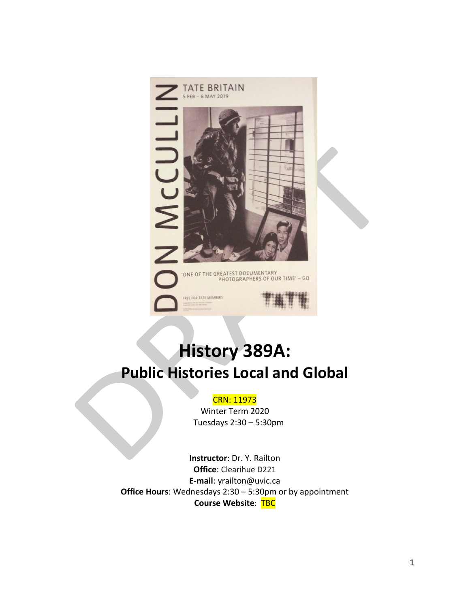

# **History 389A: Public Histories Local and Global**

#### CRN: 11973

Winter Term 2020 Tuesdays 2:30 – 5:30pm

**Instructor**: Dr. Y. Railton **Office**: Clearihue D221 **E-mail**: yrailton@uvic.ca **Office Hours**: Wednesdays 2:30 – 5:30pm or by appointment **Course Website**: TBC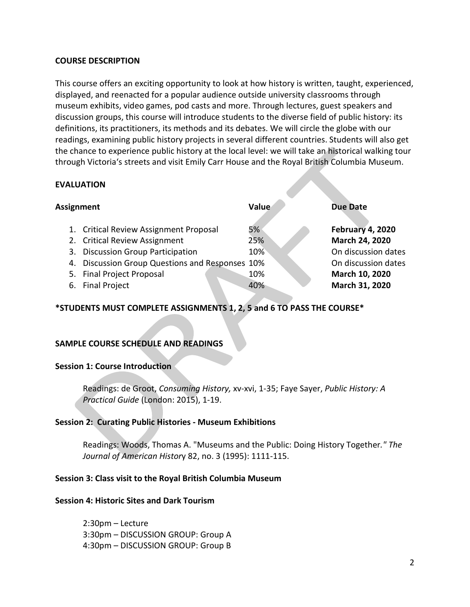## **COURSE DESCRIPTION**

This course offers an exciting opportunity to look at how history is written, taught, experienced, displayed, and reenacted for a popular audience outside university classrooms through museum exhibits, video games, pod casts and more. Through lectures, guest speakers and discussion groups, this course will introduce students to the diverse field of public history: its definitions, its practitioners, its methods and its debates. We will circle the globe with our readings, examining public history projects in several different countries. Students will also get the chance to experience public history at the local level: we will take an historical walking tour through Victoria's streets and visit Emily Carr House and the Royal British Columbia Museum.

#### **EVALUATION**

| <b>Assignment</b> |                                                 | Value | <b>Due Date</b>         |
|-------------------|-------------------------------------------------|-------|-------------------------|
|                   | 1. Critical Review Assignment Proposal          | 5%    | <b>February 4, 2020</b> |
|                   | 2. Critical Review Assignment                   | 25%   | March 24, 2020          |
|                   | 3. Discussion Group Participation               | 10%   | On discussion dates     |
|                   | 4. Discussion Group Questions and Responses 10% |       | On discussion dates     |
|                   | 5. Final Project Proposal                       | 10%   | March 10, 2020          |
|                   | 6. Final Project                                | 40%   | March 31, 2020          |

## **\*STUDENTS MUST COMPLETE ASSIGNMENTS 1, 2, 5 and 6 TO PASS THE COURSE\***

## **SAMPLE COURSE SCHEDULE AND READINGS**

#### **Session 1: Course Introduction**

Readings: de Groot, *Consuming History,* xv-xvi, 1-35; Faye Sayer, *Public History: A Practical Guide* (London: 2015), 1-19.

## **Session 2: Curating Public Histories - Museum Exhibitions**

Readings: Woods, Thomas A. "Museums and the Public: Doing History Together*." The Journal of American Histor*y 82, no. 3 (1995): 1111-115.

#### **Session 3: Class visit to the Royal British Columbia Museum**

#### **Session 4: Historic Sites and Dark Tourism**

2:30pm – Lecture 3:30pm – DISCUSSION GROUP: Group A 4:30pm – DISCUSSION GROUP: Group B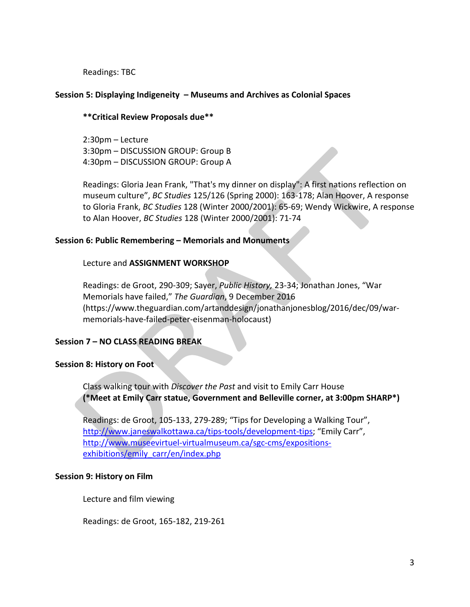Readings: TBC

## **Session 5: Displaying Indigeneity – Museums and Archives as Colonial Spaces**

## **\*\*Critical Review Proposals due\*\***

2:30pm – Lecture 3:30pm – DISCUSSION GROUP: Group B 4:30pm – DISCUSSION GROUP: Group A

Readings: Gloria Jean Frank, "That's my dinner on display": A first nations reflection on museum culture", *BC Studies* 125/126 (Spring 2000): 163-178; Alan Hoover, A response to Gloria Frank, *BC Studies* 128 (Winter 2000/2001): 65-69; Wendy Wickwire, A response to Alan Hoover, *BC Studies* 128 (Winter 2000/2001): 71-74

## **Session 6: Public Remembering – Memorials and Monuments**

## Lecture and **ASSIGNMENT WORKSHOP**

Readings: de Groot, 290-309; Sayer, *Public History,* 23-34; Jonathan Jones, "War Memorials have failed," *The Guardian*, 9 December 2016 (https://www.theguardian.com/artanddesign/jonathanjonesblog/2016/dec/09/warmemorials-have-failed-peter-eisenman-holocaust)

## **Session 7 – NO CLASS READING BREAK**

## **Session 8: History on Foot**

Class walking tour with *Discover the Past* and visit to Emily Carr House **(\*Meet at Emily Carr statue, Government and Belleville corner, at 3:00pm SHARP\*)**

Readings: de Groot, 105-133, 279-289; "Tips for Developing a Walking Tour", [http://www.janeswalkottawa.ca/tips-tools/development-tips;](http://www.janeswalkottawa.ca/tips-tools/development-tips) "Emily Carr", [http://www.museevirtuel-virtualmuseum.ca/sgc-cms/expositions](http://www.museevirtuel-virtualmuseum.ca/sgc-cms/expositions-exhibitions/emily_carr/en/index.php)[exhibitions/emily\\_carr/en/index.php](http://www.museevirtuel-virtualmuseum.ca/sgc-cms/expositions-exhibitions/emily_carr/en/index.php)

## **Session 9: History on Film**

Lecture and film viewing

Readings: de Groot, 165-182, 219-261